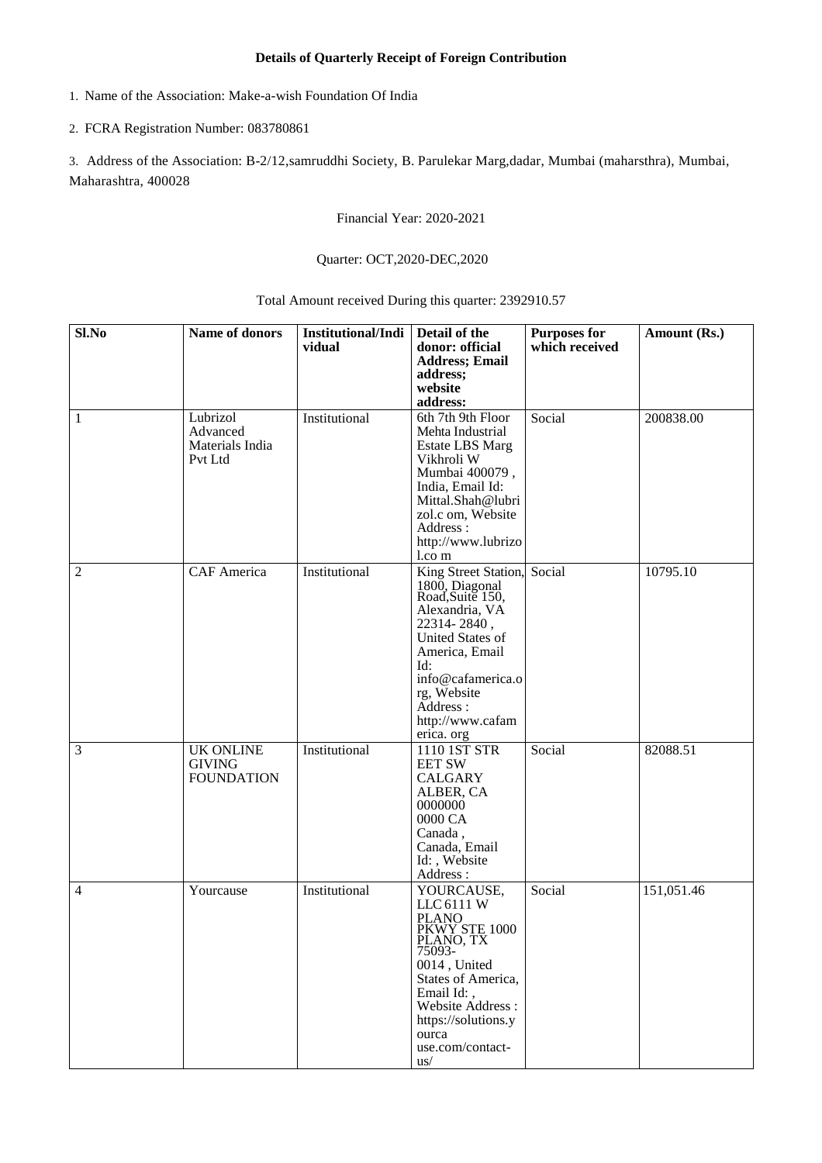## **Details of Quarterly Receipt of Foreign Contribution**

- 1. Name of the Association: Make-a-wish Foundation Of India
- 2. FCRA Registration Number: 083780861

3. Address of the Association: B-2/12,samruddhi Society, B. Parulekar Marg,dadar, Mumbai (maharsthra), Mumbai, Maharashtra, 400028

Financial Year: 2020-2021

## Quarter: OCT,2020-DEC,2020

## Total Amount received During this quarter: 2392910.57

| Sl.No        | Name of donors                                         | Institutional/Indi<br>vidual | Detail of the<br>donor: official<br><b>Address; Email</b><br>address;<br>website<br>address:                                                                                                                                      | <b>Purposes for</b><br>which received | Amount (Rs.) |
|--------------|--------------------------------------------------------|------------------------------|-----------------------------------------------------------------------------------------------------------------------------------------------------------------------------------------------------------------------------------|---------------------------------------|--------------|
| $\mathbf{1}$ | Lubrizol<br>Advanced<br>Materials India<br>Pvt Ltd     | Institutional                | 6th 7th 9th Floor<br>Mehta Industrial<br><b>Estate LBS Marg</b><br>Vikhroli W<br>Mumbai 400079,<br>India, Email Id:<br>Mittal.Shah@lubri<br>zol.c om, Website<br>Address:<br>http://www.lubrizo<br>l.com                          | Social                                | 200838.00    |
| 2            | <b>CAF</b> America                                     | Institutional                | King Street Station, Social<br>1800, Diagonal<br>Road, Suite 150,<br>Alexandria, VA<br>22314-2840,<br>United States of<br>America, Email<br>Id:<br>info@cafamerica.o<br>rg, Website<br>Address:<br>http://www.cafam<br>erica. org |                                       | 10795.10     |
| 3            | <b>UK ONLINE</b><br><b>GIVING</b><br><b>FOUNDATION</b> | Institutional                | 1110 1ST STR<br><b>EET SW</b><br><b>CALGARY</b><br>ALBER, CA<br>0000000<br>0000 CA<br>Canada,<br>Canada, Email<br>Id:, Website<br>Address:                                                                                        | Social                                | 82088.51     |
| 4            | Yourcause                                              | Institutional                | YOURCAUSE,<br>LLC 6111 W<br><b>PLANO</b><br>PKWY STE 1000<br>PLANO, TX<br>75093-<br>0014, United<br>States of America,<br>Email Id:,<br>Website Address:<br>https://solutions.y<br>ourca<br>use.com/contact-<br>us/               | Social                                | 151,051.46   |